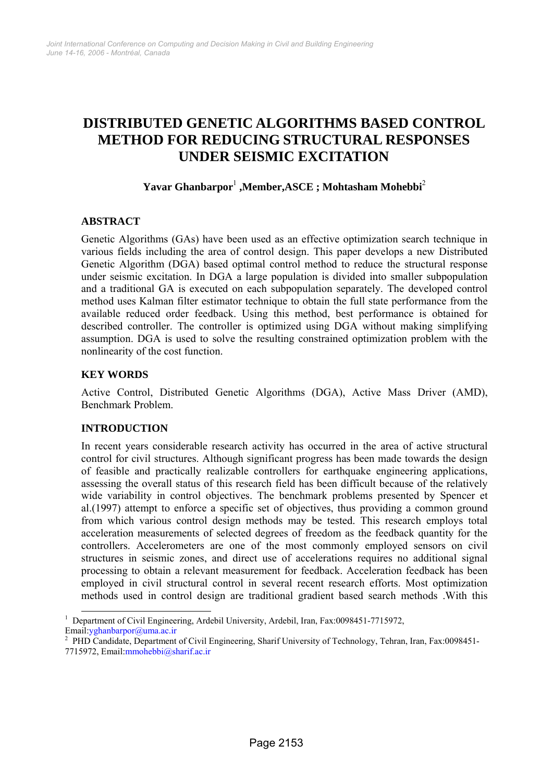# **DISTRIBUTED GENETIC ALGORITHMS BASED CONTROL METHOD FOR REDUCING STRUCTURAL RESPONSES UNDER SEISMIC EXCITATION**

# **Yavar Ghanbarpor**<sup>1</sup>  **,Member,ASCE ; Mohtasham Mohebbi**<sup>2</sup>

## **ABSTRACT**

Genetic Algorithms (GAs) have been used as an effective optimization search technique in various fields including the area of control design. This paper develops a new Distributed Genetic Algorithm (DGA) based optimal control method to reduce the structural response under seismic excitation. In DGA a large population is divided into smaller subpopulation and a traditional GA is executed on each subpopulation separately. The developed control method uses Kalman filter estimator technique to obtain the full state performance from the available reduced order feedback. Using this method, best performance is obtained for described controller. The controller is optimized using DGA without making simplifying assumption. DGA is used to solve the resulting constrained optimization problem with the nonlinearity of the cost function.

#### **KEY WORDS**

Active Control, Distributed Genetic Algorithms (DGA), Active Mass Driver (AMD), Benchmark Problem.

## **INTRODUCTION**

In recent years considerable research activity has occurred in the area of active structural control for civil structures. Although significant progress has been made towards the design of feasible and practically realizable controllers for earthquake engineering applications, assessing the overall status of this research field has been difficult because of the relatively wide variability in control objectives. The benchmark problems presented by Spencer et al.(1997) attempt to enforce a specific set of objectives, thus providing a common ground from which various control design methods may be tested. This research employs total acceleration measurements of selected degrees of freedom as the feedback quantity for the controllers. Accelerometers are one of the most commonly employed sensors on civil structures in seismic zones, and direct use of accelerations requires no additional signal processing to obtain a relevant measurement for feedback. Acceleration feedback has been employed in civil structural control in several recent research efforts. Most optimization methods used in control design are traditional gradient based search methods .With this

<sup>&</sup>lt;sup>1</sup> Department of Civil Engineering, Ardebil University, Ardebil, Iran, Fax:0098451-7715972, Email:yghanbarpor@uma.ac.ir <sup>2</sup>

<sup>&</sup>lt;sup>2</sup> PHD Candidate, Department of Civil Engineering, Sharif University of Technology, Tehran, Iran, Fax:0098451-7715972, Email:mmohebbi@sharif.ac.ir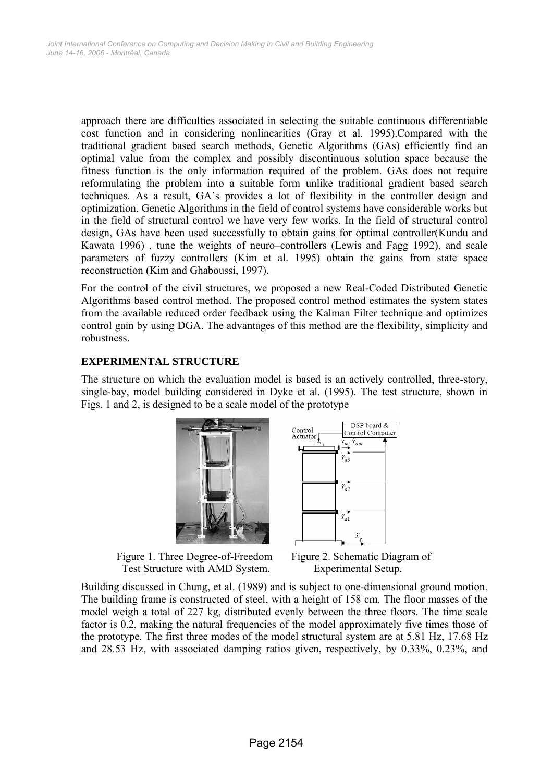approach there are difficulties associated in selecting the suitable continuous differentiable cost function and in considering nonlinearities (Gray et al. 1995).Compared with the traditional gradient based search methods, Genetic Algorithms (GAs) efficiently find an optimal value from the complex and possibly discontinuous solution space because the fitness function is the only information required of the problem. GAs does not require reformulating the problem into a suitable form unlike traditional gradient based search techniques. As a result, GA's provides a lot of flexibility in the controller design and optimization. Genetic Algorithms in the field of control systems have considerable works but in the field of structural control we have very few works. In the field of structural control design, GAs have been used successfully to obtain gains for optimal controller(Kundu and Kawata 1996) , tune the weights of neuro–controllers (Lewis and Fagg 1992), and scale parameters of fuzzy controllers (Kim et al. 1995) obtain the gains from state space reconstruction (Kim and Ghaboussi, 1997).

For the control of the civil structures, we proposed a new Real-Coded Distributed Genetic Algorithms based control method. The proposed control method estimates the system states from the available reduced order feedback using the Kalman Filter technique and optimizes control gain by using DGA. The advantages of this method are the flexibility, simplicity and robustness.

## **EXPERIMENTAL STRUCTURE**

The structure on which the evaluation model is based is an actively controlled, three-story, single-bay, model building considered in Dyke et al*.* (1995). The test structure, shown in Figs. 1 and 2, is designed to be a scale model of the prototype



Figure 1. Three Degree-of-Freedom Figure 2. Schematic Diagram of Test Structure with AMD System. Experimental Setup.



Building discussed in Chung, et al. (1989) and is subject to one-dimensional ground motion. The building frame is constructed of steel, with a height of 158 cm. The floor masses of the model weigh a total of 227 kg, distributed evenly between the three floors. The time scale factor is 0.2, making the natural frequencies of the model approximately five times those of the prototype. The first three modes of the model structural system are at 5.81 Hz, 17.68 Hz and 28.53 Hz, with associated damping ratios given, respectively, by 0.33%, 0.23%, and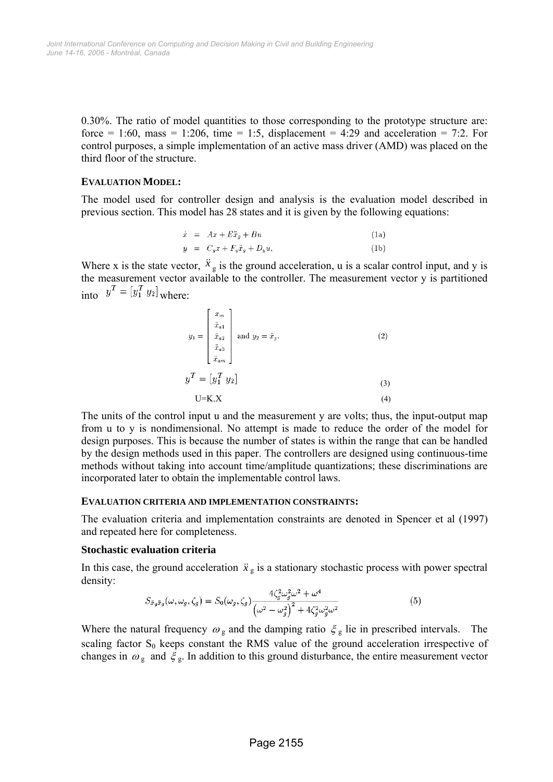0.30%. The ratio of model quantities to those corresponding to the prototype structure are: force = 1:60, mass = 1:206, time = 1:5, displacement = 4:29 and acceleration = 7:2. For control purposes, a simple implementation of an active mass driver (AMD) was placed on the third floor of the structure.

#### **EVALUATION MODEL:**

The model used for controller design and analysis is the evaluation model described in previous section. This model has 28 states and it is given by the following equations:

$$
\dot{x} = Ax + E\ddot{x}_g + Bu \tag{1a}
$$

$$
y = C_y x + F_y \ddot{x}_g + D_y u, \tag{1b}
$$

Where x is the state vector,  $\ddot{x}_g$  is the ground acceleration, u is a scalar control input, and y is the measurement vector available to the controller. The measurement vector y is partitioned into  $y = [y_1 \ y_2]$  where:

$$
y_{1} = \begin{bmatrix} x_{m} \\ \ddot{x}_{a1} \\ \ddot{x}_{a2} \\ \ddot{x}_{an} \\ \ddot{x}_{am} \end{bmatrix} \text{ and } y_{2} = \ddot{x}_{g}. \tag{2}
$$

$$
y^{T} = [y_{1}^{T} y_{2}] \tag{3}
$$

$$
U=K.X \tag{4}
$$

The units of the control input u and the measurement y are volts; thus, the input-output map from u to y is nondimensional. No attempt is made to reduce the order of the model for design purposes. This is because the number of states is within the range that can be handled by the design methods used in this paper. The controllers are designed using continuous-time methods without taking into account time/amplitude quantizations; these discriminations are incorporated later to obtain the implementable control laws.

#### **EVALUATION CRITERIA AND IMPLEMENTATION CONSTRAINTS:**

The evaluation criteria and implementation constraints are denoted in Spencer et al (1997) and repeated here for completeness.

#### **Stochastic evaluation criteria**

In this case, the ground acceleration  $\ddot{x}_g$  is a stationary stochastic process with power spectral density:

$$
S_{\ddot{x}_g\ddot{x}_g}(\omega,\omega_g,\zeta_g) = S_0(\omega_g,\zeta_g) \frac{4\zeta_g^2 \omega_g^2 \omega^2 + \omega^4}{\left(\omega^2 - \omega_g^2\right)^2 + 4\zeta_g^2 \omega_g^2 \omega^2}
$$
(5)

Where the natural frequency  $\omega_{\rm g}$  and the damping ratio  $\xi_{\rm g}$  lie in prescribed intervals. The scaling factor  $S_0$  keeps constant the RMS value of the ground acceleration irrespective of changes in  $\omega_{\rm g}$  and  $\xi_{\rm g}$ . In addition to this ground disturbance, the entire measurement vector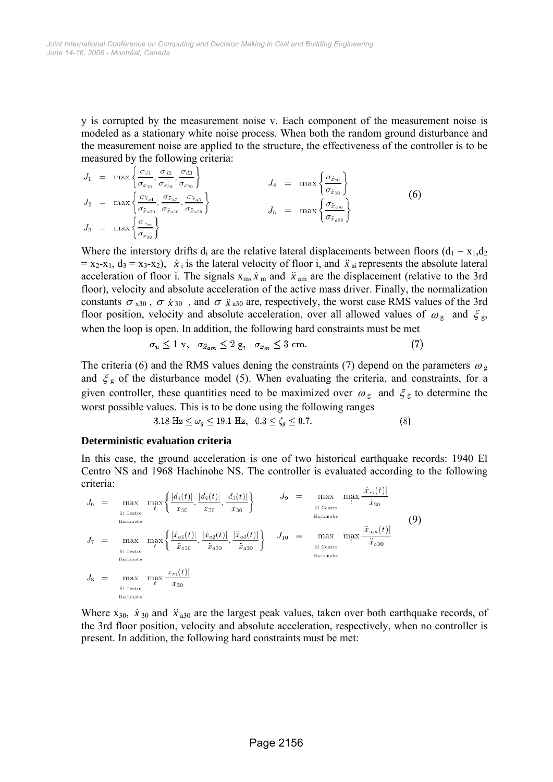y is corrupted by the measurement noise v. Each component of the measurement noise is modeled as a stationary white noise process. When both the random ground disturbance and the measurement noise are applied to the structure, the effectiveness of the controller is to be measured by the following criteria:

$$
J_1 = \max\left\{\frac{\sigma_{d1}}{\sigma_{x_{30}}}, \frac{\sigma_{d2}}{\sigma_{x_{30}}}, \frac{\sigma_{d3}}{\sigma_{x_{30}}}\right\}
$$
  
\n
$$
J_2 = \max\left\{\frac{\sigma_{\ddot{x}_{a1}}}{\sigma_{\ddot{x}_{a30}}}, \frac{\sigma_{\ddot{x}_{a2}}}{\sigma_{\ddot{x}_{a30}}}, \frac{\sigma_{\ddot{x}_{a3}}}{\sigma_{\ddot{x}_{a30}}}\right\}
$$
  
\n
$$
J_3 = \max\left\{\frac{\sigma_{x_m}}{\sigma_{x_{30}}}\right\}
$$
  
\n
$$
J_4 = \max\left\{\frac{\sigma_{\ddot{x}_{am}}}{\sigma_{\ddot{x}_{a30}}}\right\}
$$
  
\n
$$
J_5 = \max\left\{\frac{\sigma_{\ddot{x}_{am}}}{\sigma_{\ddot{x}_{a30}}}\right\}
$$
  
\n(6)

Where the interstory drifts d<sub>i</sub> are the relative lateral displacements between floors ( $d_1 = x_1, d_2$ )  $= x_2-x_1, d_3 = x_3-x_2$ ,  $\dot{x}_i$  is the lateral velocity of floor i, and  $\ddot{x}_{ai}$  represents the absolute lateral acceleration of floor i. The signals  $x_m$ ,  $\dot{x}_m$  and  $\ddot{x}_m$  are the displacement (relative to the 3rd floor), velocity and absolute acceleration of the active mass driver. Finally, the normalization constants  $\sigma_{x30}$ ,  $\sigma_{\dot{x}30}$ , and  $\sigma_{\ddot{x}30}$  are, respectively, the worst case RMS values of the 3rd floor position, velocity and absolute acceleration, over all allowed values of  $\omega_{\rm g}$  and  $\zeta_{\rm g}$ , when the loop is open. In addition, the following hard constraints must be met

$$
\sigma_u \le 1 \text{ v}, \quad \sigma_{\ddot{x}_{am}} \le 2 \text{ g}, \quad \sigma_{x_m} \le 3 \text{ cm}.\tag{7}
$$

The criteria (6) and the RMS values dening the constraints (7) depend on the parameters  $\omega_{\rm g}$ and  $\xi_g$  of the disturbance model (5). When evaluating the criteria, and constraints, for a given controller, these quantities need to be maximized over  $\omega_{\rm g}$  and  $\xi_{\rm g}$  to determine the worst possible values. This is to be done using the following ranges

> 3.18 Hz  $\leq \omega_g \leq 19.1$  Hz,  $0.3 \leq \zeta_g \leq 0.7$ .  $(8)$

#### **Deterministic evaluation criteria**

In this case, the ground acceleration is one of two historical earthquake records: 1940 El Centro NS and 1968 Hachinohe NS. The controller is evaluated according to the following criteria:

$$
J_{6} = \max_{\substack{\text{Bl Centro} \\ \text{Hachinoke}}} \max_{t} \left\{ \frac{|d_{1}(t)|}{x_{30}}, \frac{|d_{2}(t)|}{x_{30}}, \frac{|d_{3}(t)|}{x_{30}} \right\} \qquad J_{9} = \max_{\substack{\text{Bl Centro} \\ \text{Hachinoke}}} \max_{t} \frac{\max_{t} \frac{|x_{m}(t)|}{x_{30}}}{\frac{|\ddot{x}_{a1}(t)|}{\ddot{x}_{a30}}, \frac{|\ddot{x}_{a2}(t)|}{\ddot{x}_{a30}}, \frac{|\ddot{x}_{a3}(t)|}{\ddot{x}_{a30}} \right\} \qquad J_{10} = \max_{\substack{\text{Bl Centro} \\ \text{Bl Centro} \\ \text{Hachinoke}}} \max_{t} \frac{|\ddot{x}_{am}(t)|}{\ddot{x}_{a30}}
$$
\n
$$
J_{8} = \max_{\substack{\text{Hachinoke} \\ \text{Hachinoke}}} \max_{t} \frac{|x_{m}(t)|}{x_{30}}
$$
\n
$$
J_{9} = \max_{t} \max_{t} \frac{|x_{m}(t)|}{\ddot{x}_{30}}
$$
\n
$$
J_{9} = \max_{t} \max_{t} \frac{|x_{m}(t)|}{\ddot{x}_{30}}
$$
\n
$$
J_{10} = \max_{t} \max_{t} \frac{|x_{m}(t)|}{\ddot{x}_{30}}
$$
\n
$$
J_{11} = \max_{t} \max_{t} \frac{|x_{m}(t)|}{\ddot{x}_{30}}
$$
\n
$$
J_{12} = \max_{t} \max_{t} \frac{|x_{m}(t)|}{\ddot{x}_{30}}
$$
\n
$$
J_{13} = \max_{t} \max_{t} \frac{|x_{m}(t)|}{\ddot{x}_{30}}
$$
\n
$$
J_{14} = \max_{t} \max_{t} \frac{|x_{m}(t)|}{\ddot{x}_{30}}
$$
\n
$$
J_{15} = \max_{t} \max_{t} \frac{|x_{m}(t)|}{\ddot{x}_{30}}
$$
\n
$$
J_{16} = \max_{t} \max_{t} \frac{|x_{m}(t)|}{\ddot{x}_{30}}
$$
\n
$$
J_{17} = \max_{t} \max_{t} \frac{|x_{m}(t)|}{
$$

Where  $x_{30}$ ,  $\dot{x}_{30}$  and  $\ddot{x}_{a30}$  are the largest peak values, taken over both earthquake records, of the 3rd floor position, velocity and absolute acceleration, respectively, when no controller is present. In addition, the following hard constraints must be met: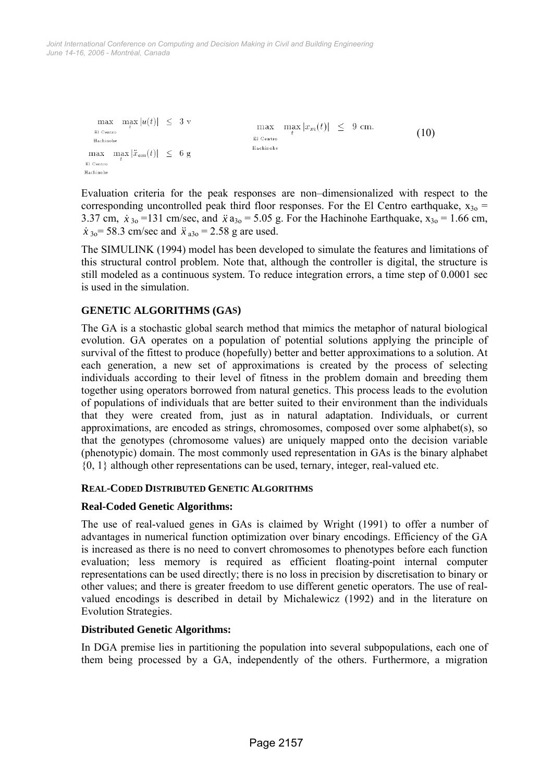*June 14-16, 2006 - Montréal, Canada Joint International Conference on Computing and Decision Making in Civil and Building Engineering*

```
\max \max |u(t)| \leq 3 v
                                                     \max max |x_m(t)| \leq 9 cm.
  El Centro
                                                                                                        (10) 
                                                    El Centro
  Hachinohe
                                                    Hachinohe
\max \max |\ddot{x}_{am}(t)| \leq 6 g
El Centro
Hachinohe
```
Evaluation criteria for the peak responses are non–dimensionalized with respect to the corresponding uncontrolled peak third floor responses. For the El Centro earthquake,  $x_{30}$  = 3.37 cm,  $\dot{x}_{30}$  = 131 cm/sec, and  $\ddot{x}$  a<sub>30</sub> = 5.05 g. For the Hachinohe Earthquake, x<sub>30</sub> = 1.66 cm,  $\dot{x}_{3o}$  = 58.3 cm/sec and  $\ddot{x}_{a3o}$  = 2.58 g are used.

The SIMULINK (1994) model has been developed to simulate the features and limitations of this structural control problem. Note that, although the controller is digital, the structure is still modeled as a continuous system. To reduce integration errors, a time step of 0.0001 sec is used in the simulation.

# **GENETIC ALGORITHMS (GAS)**

The GA is a stochastic global search method that mimics the metaphor of natural biological evolution. GA operates on a population of potential solutions applying the principle of survival of the fittest to produce (hopefully) better and better approximations to a solution. At each generation, a new set of approximations is created by the process of selecting individuals according to their level of fitness in the problem domain and breeding them together using operators borrowed from natural genetics. This process leads to the evolution of populations of individuals that are better suited to their environment than the individuals that they were created from, just as in natural adaptation. Individuals, or current approximations, are encoded as strings, chromosomes, composed over some alphabet(s), so that the genotypes (chromosome values) are uniquely mapped onto the decision variable (phenotypic) domain. The most commonly used representation in GAs is the binary alphabet {0, 1} although other representations can be used, ternary, integer, real-valued etc.

## **REAL-CODED DISTRIBUTED GENETIC ALGORITHMS**

## **Real-Coded Genetic Algorithms:**

The use of real-valued genes in GAs is claimed by Wright (1991) to offer a number of advantages in numerical function optimization over binary encodings. Efficiency of the GA is increased as there is no need to convert chromosomes to phenotypes before each function evaluation; less memory is required as efficient floating-point internal computer representations can be used directly; there is no loss in precision by discretisation to binary or other values; and there is greater freedom to use different genetic operators. The use of realvalued encodings is described in detail by Michalewicz (1992) and in the literature on Evolution Strategies.

## **Distributed Genetic Algorithms:**

In DGA premise lies in partitioning the population into several subpopulations, each one of them being processed by a GA, independently of the others. Furthermore, a migration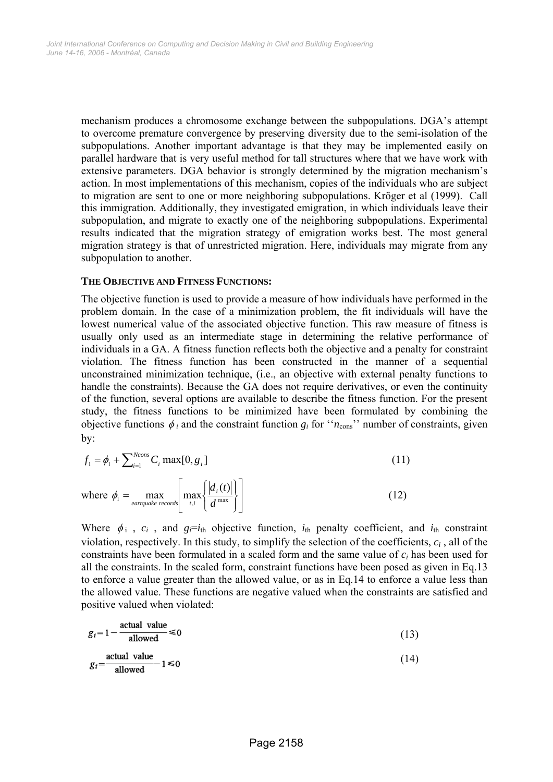mechanism produces a chromosome exchange between the subpopulations. DGA's attempt to overcome premature convergence by preserving diversity due to the semi-isolation of the subpopulations. Another important advantage is that they may be implemented easily on parallel hardware that is very useful method for tall structures where that we have work with extensive parameters. DGA behavior is strongly determined by the migration mechanism's action. In most implementations of this mechanism, copies of the individuals who are subject to migration are sent to one or more neighboring subpopulations. Kröger et al (1999). Call this immigration. Additionally, they investigated emigration, in which individuals leave their subpopulation, and migrate to exactly one of the neighboring subpopulations. Experimental results indicated that the migration strategy of emigration works best. The most general migration strategy is that of unrestricted migration. Here, individuals may migrate from any subpopulation to another.

#### **THE OBJECTIVE AND FITNESS FUNCTIONS:**

The objective function is used to provide a measure of how individuals have performed in the problem domain. In the case of a minimization problem, the fit individuals will have the lowest numerical value of the associated objective function. This raw measure of fitness is usually only used as an intermediate stage in determining the relative performance of individuals in a GA. A fitness function reflects both the objective and a penalty for constraint violation. The fitness function has been constructed in the manner of a sequential unconstrained minimization technique, (i.e., an objective with external penalty functions to handle the constraints). Because the GA does not require derivatives, or even the continuity of the function, several options are available to describe the fitness function. For the present study, the fitness functions to be minimized have been formulated by combining the objective functions  $\phi_i$  and the constraint function  $g_i$  for " $n_{\text{cons}}$ " number of constraints, given by:

$$
f_1 = \phi_1 + \sum_{i=1}^{Ncons} C_i \max[0, g_i]
$$
\n(11)  
\nwhere  $\phi_1 = \max_{\text{eartquake records}} \left[ \max_{t, i} \left\{ \frac{|d_i(t)|}{d^{\max}} \right\} \right]$ 

Where  $\phi_i$ ,  $c_i$ , and  $g_i = i_{th}$  objective function,  $i_{th}$  penalty coefficient, and  $i_{th}$  constraint violation, respectively. In this study, to simplify the selection of the coefficients, *ci* , all of the constraints have been formulated in a scaled form and the same value of *ci* has been used for all the constraints. In the scaled form, constraint functions have been posed as given in Eq.13 to enforce a value greater than the allowed value, or as in Eq.14 to enforce a value less than the allowed value. These functions are negative valued when the constraints are satisfied and positive valued when violated:

$$
g_i = 1 - \frac{\text{actual value}}{\text{allowed}} \le 0
$$
 (13)

$$
g_i = \frac{\text{actual value}}{\text{allowed}} - 1 \le 0 \tag{14}
$$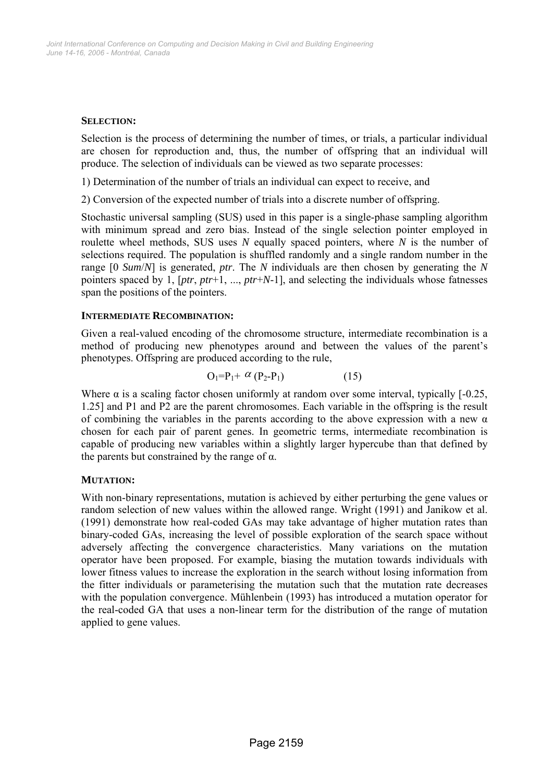## **SELECTION:**

Selection is the process of determining the number of times, or trials, a particular individual are chosen for reproduction and, thus, the number of offspring that an individual will produce. The selection of individuals can be viewed as two separate processes:

1) Determination of the number of trials an individual can expect to receive, and

2) Conversion of the expected number of trials into a discrete number of offspring.

Stochastic universal sampling (SUS) used in this paper is a single-phase sampling algorithm with minimum spread and zero bias. Instead of the single selection pointer employed in roulette wheel methods, SUS uses *N* equally spaced pointers, where *N* is the number of selections required. The population is shuffled randomly and a single random number in the range [0 *Sum*/*N*] is generated, *ptr*. The *N* individuals are then chosen by generating the *N*  pointers spaced by 1, [*ptr*, *ptr*+1, ..., *ptr*+*N*-1], and selecting the individuals whose fatnesses span the positions of the pointers.

#### **INTERMEDIATE RECOMBINATION:**

Given a real-valued encoding of the chromosome structure, intermediate recombination is a method of producing new phenotypes around and between the values of the parent's phenotypes. Offspring are produced according to the rule,

$$
O_1 = P_1 + \alpha (P_2 - P_1) \tag{15}
$$

Where  $\alpha$  is a scaling factor chosen uniformly at random over some interval, typically [-0.25, 1.25] and P1 and P2 are the parent chromosomes. Each variable in the offspring is the result of combining the variables in the parents according to the above expression with a new  $\alpha$ chosen for each pair of parent genes. In geometric terms, intermediate recombination is capable of producing new variables within a slightly larger hypercube than that defined by the parents but constrained by the range of  $\alpha$ .

## **MUTATION:**

With non-binary representations, mutation is achieved by either perturbing the gene values or random selection of new values within the allowed range. Wright (1991) and Janikow et al. (1991) demonstrate how real-coded GAs may take advantage of higher mutation rates than binary-coded GAs, increasing the level of possible exploration of the search space without adversely affecting the convergence characteristics. Many variations on the mutation operator have been proposed. For example, biasing the mutation towards individuals with lower fitness values to increase the exploration in the search without losing information from the fitter individuals or parameterising the mutation such that the mutation rate decreases with the population convergence. Mühlenbein (1993) has introduced a mutation operator for the real-coded GA that uses a non-linear term for the distribution of the range of mutation applied to gene values.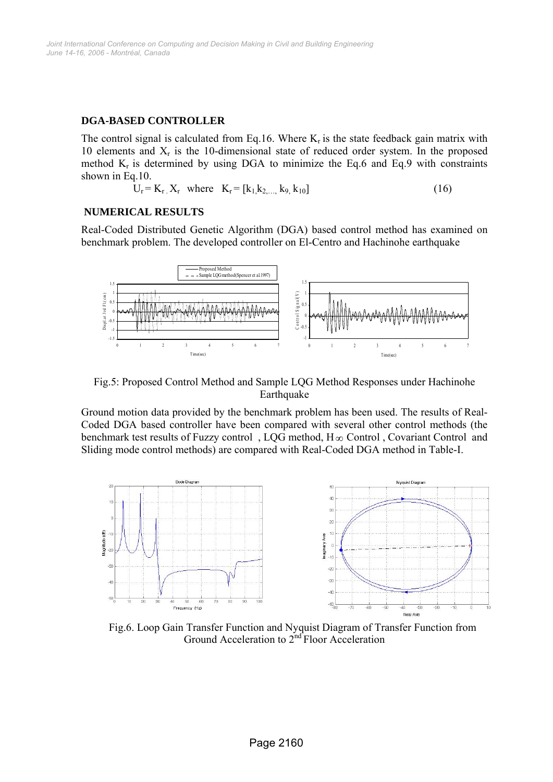## **DGA-BASED CONTROLLER**

The control signal is calculated from Eq.16. Where  $K_r$  is the state feedback gain matrix with 10 elements and  $X_r$  is the 10-dimensional state of reduced order system. In the proposed method  $K_r$  is determined by using DGA to minimize the Eq.6 and Eq.9 with constraints shown in Eq.10.

$$
\hat{U}_r = K_r \cdot X_r \quad \text{where} \quad K_r = [k_1, k_2, \dots, k_9, k_{10}] \tag{16}
$$

## **NUMERICAL RESULTS**

Real-Coded Distributed Genetic Algorithm (DGA) based control method has examined on benchmark problem. The developed controller on El-Centro and Hachinohe earthquake



Fig.5: Proposed Control Method and Sample LQG Method Responses under Hachinohe Earthquake

Ground motion data provided by the benchmark problem has been used. The results of Real-Coded DGA based controller have been compared with several other control methods (the benchmark test results of Fuzzy control , LQG method, H∞ Control , Covariant Control and Sliding mode control methods) are compared with Real-Coded DGA method in Table-I.



Fig.6. Loop Gain Transfer Function and Nyquist Diagram of Transfer Function from Ground Acceleration to 2<sup>nd</sup> Floor Acceleration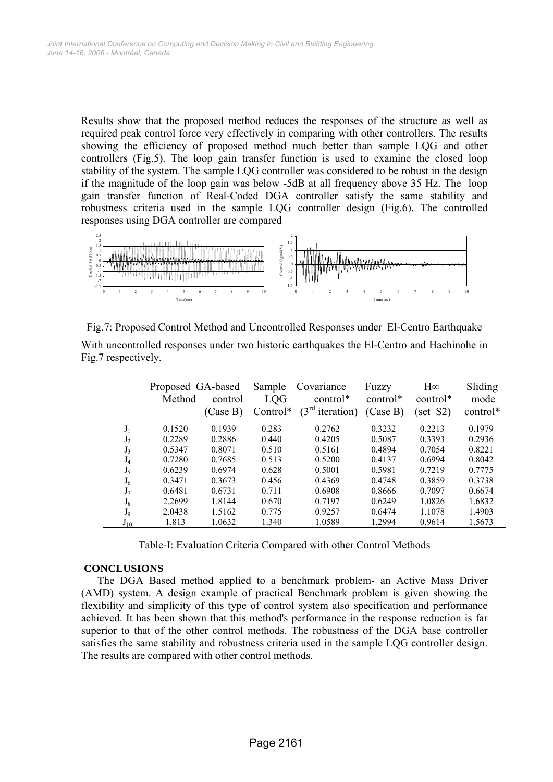Results show that the proposed method reduces the responses of the structure as well as required peak control force very effectively in comparing with other controllers. The results showing the efficiency of proposed method much better than sample LQG and other controllers (Fig.5). The loop gain transfer function is used to examine the closed loop stability of the system. The sample LQG controller was considered to be robust in the design if the magnitude of the loop gain was below -5dB at all frequency above 35 Hz. The loop gain transfer function of Real-Coded DGA controller satisfy the same stability and robustness criteria used in the sample LQG controller design (Fig.6). The controlled responses using DGA controller are compared



| Fig.7: Proposed Control Method and Uncontrolled Responses under El-Centro Earthquake      |  |
|-------------------------------------------------------------------------------------------|--|
| With uncontrolled responses under two historic earthquakes the El-Centro and Hachinohe in |  |
| Fig. 7 respectively.                                                                      |  |

|                | Proposed GA-based<br>Method | control<br>(Case B) | Sample<br>LQG<br>Control* | Covariance<br>control*<br>$(3^{rd}$<br><i>iteration</i> ) | Fuzzy<br>control*<br>(Case B) | $H\infty$<br>control*<br>(set S2) | Sliding<br>mode<br>control* |
|----------------|-----------------------------|---------------------|---------------------------|-----------------------------------------------------------|-------------------------------|-----------------------------------|-----------------------------|
| $J_1$          | 0.1520                      | 0.1939              | 0.283                     | 0.2762                                                    | 0.3232                        | 0.2213                            | 0.1979                      |
| J <sub>2</sub> | 0.2289                      | 0.2886              | 0.440                     | 0.4205                                                    | 0.5087                        | 0.3393                            | 0.2936                      |
| $J_3$          | 0.5347                      | 0.8071              | 0.510                     | 0.5161                                                    | 0.4894                        | 0.7054                            | 0.8221                      |
| $J_4$          | 0.7280                      | 0.7685              | 0.513                     | 0.5200                                                    | 0.4137                        | 0.6994                            | 0.8042                      |
| $J_5$          | 0.6239                      | 0.6974              | 0.628                     | 0.5001                                                    | 0.5981                        | 0.7219                            | 0.7775                      |
| $J_6$          | 0.3471                      | 0.3673              | 0.456                     | 0.4369                                                    | 0.4748                        | 0.3859                            | 0.3738                      |
| $J_7$          | 0.6481                      | 0.6731              | 0.711                     | 0.6908                                                    | 0.8666                        | 0.7097                            | 0.6674                      |
| $J_8$          | 2.2699                      | 1.8144              | 0.670                     | 0.7197                                                    | 0.6249                        | 1.0826                            | 1.6832                      |
| $J_9$          | 2.0438                      | 1.5162              | 0.775                     | 0.9257                                                    | 0.6474                        | 1.1078                            | 1.4903                      |
| $J_{10}$       | 1.813                       | 1.0632              | 1.340                     | 1.0589                                                    | 1.2994                        | 0.9614                            | 1.5673                      |

Table-I: Evaluation Criteria Compared with other Control Methods

# **CONCLUSIONS**

The DGA Based method applied to a benchmark problem- an Active Mass Driver (AMD) system. A design example of practical Benchmark problem is given showing the flexibility and simplicity of this type of control system also specification and performance achieved. It has been shown that this method's performance in the response reduction is far superior to that of the other control methods. The robustness of the DGA base controller satisfies the same stability and robustness criteria used in the sample LQG controller design. The results are compared with other control methods.